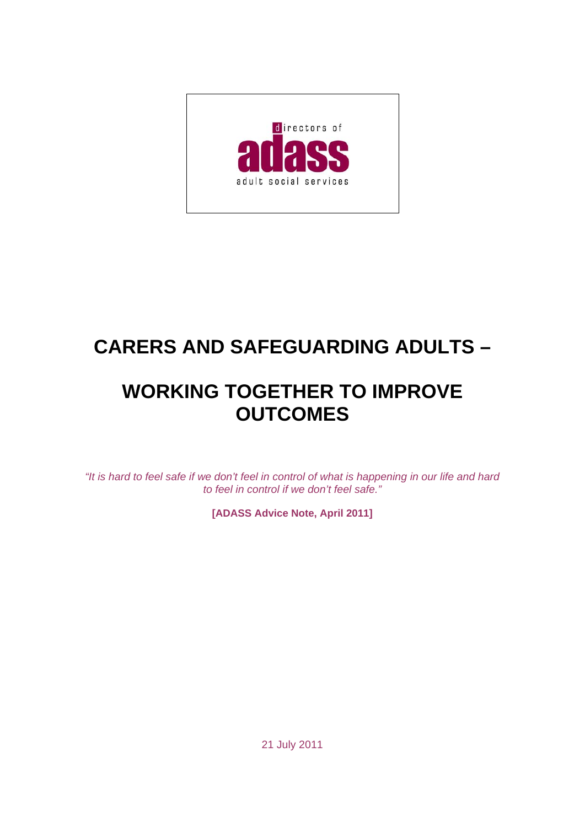

# **CARERS AND SAFEGUARDING ADULTS –**

## **WORKING TOGETHER TO IMPROVE OUTCOMES**

*"It is hard to feel safe if we don't feel in control of what is happening in our life and hard to feel in control if we don't feel safe."*

**[ADASS Advice Note, April 2011]** 

21 July 2011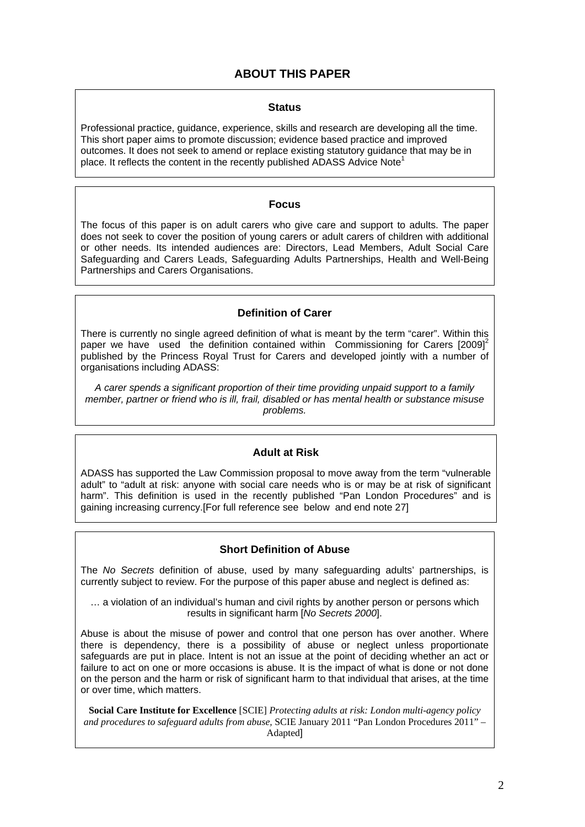## **ABOUT THIS PAPER**

#### **Status**

Professional practice, guidance, experience, skills and research are developing all the time. This short paper aims to promote discussion; evidence based practice and improved outcomes. It does not seek to amend or replace existing statutory guidance that may be in place. It reflects the content in the recently published ADASS Advice Note

#### **Focus**

The focus of this paper is on adult carers who give care and support to adults. The paper does not seek to cover the position of young carers or adult carers of children with additional or other needs. Its intended audiences are: Directors, Lead Members, Adult Social Care Safeguarding and Carers Leads, Safeguarding Adults Partnerships, Health and Well-Being Partnerships and Carers Organisations.

#### **Definition of Carer**

There is currently no single agreed definition of what is meant by the term "carer". Within this paper we have used the definition contained within Commissioning for Carers  $[2009]^{2}$ published by the Princess Royal Trust for Carers and developed jointly with a number of organisations including ADASS:

*A carer spends a significant proportion of their time providing unpaid support to a family member, partner or friend who is ill, frail, disabled or has mental health or substance misuse problems.* 

#### **Adult at Risk**

ADASS has supported the Law Commission proposal to move away from the term "vulnerable adult" to "adult at risk: anyone with social care needs who is or may be at risk of significant harm". This definition is used in the recently published "Pan London Procedures" and is gaining increasing currency.[For full reference see below and end note 27]

#### **Short Definition of Abuse**

The *No Secrets* definition of abuse, used by many safeguarding adults' partnerships, is currently subject to review. For the purpose of this paper abuse and neglect is defined as:

… a violation of an individual's human and civil rights by another person or persons which results in significant harm [*No Secrets 2000*].

Abuse is about the misuse of power and control that one person has over another. Where there is dependency, there is a possibility of abuse or neglect unless proportionate safeguards are put in place. Intent is not an issue at the point of deciding whether an act or failure to act on one or more occasions is abuse. It is the impact of what is done or not done on the person and the harm or risk of significant harm to that individual that arises, at the time or over time, which matters.

**Social Care Institute for Excellence** [SCIE] *Protecting adults at risk: London multi-agency policy and procedures to safeguard adults from abuse,* SCIE January 2011 "Pan London Procedures 2011" – Adapted]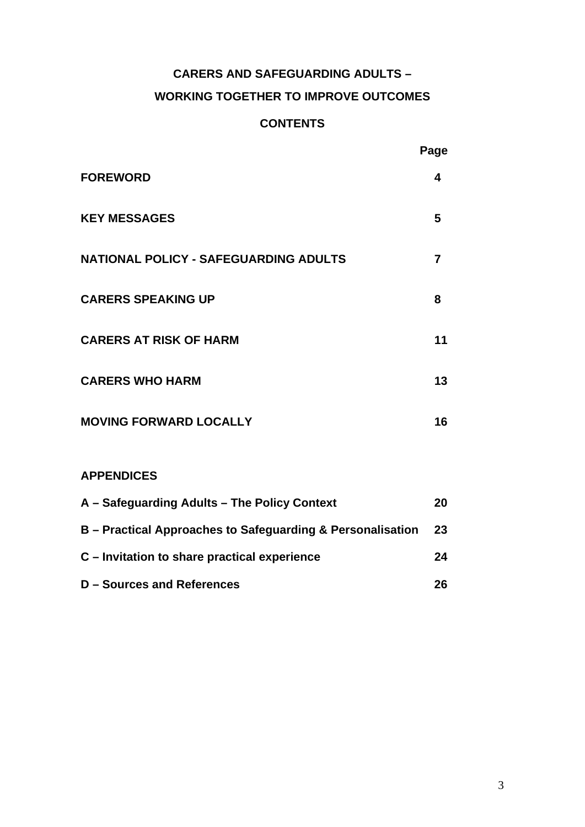## **CARERS AND SAFEGUARDING ADULTS –**

## **WORKING TOGETHER TO IMPROVE OUTCOMES**

## **CONTENTS**

|                                              | Page |
|----------------------------------------------|------|
| <b>FOREWORD</b>                              | 4    |
| <b>KEY MESSAGES</b>                          | 5    |
| <b>NATIONAL POLICY - SAFEGUARDING ADULTS</b> | 7    |
| <b>CARERS SPEAKING UP</b>                    | 8    |
| <b>CARERS AT RISK OF HARM</b>                | 11   |
| <b>CARERS WHO HARM</b>                       | 13   |
| <b>MOVING FORWARD LOCALLY</b>                | 16   |
|                                              |      |

## **APPENDICES**

| A – Safeguarding Adults – The Policy Context               | 20 |
|------------------------------------------------------------|----|
| B – Practical Approaches to Safeguarding & Personalisation | 23 |
| C – Invitation to share practical experience               | 24 |
| <b>D</b> – Sources and References                          | 26 |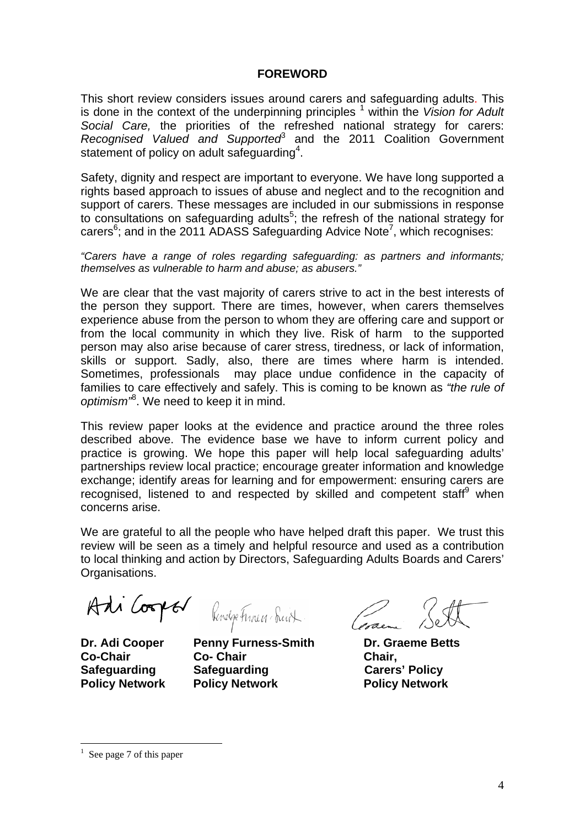#### **FOREWORD**

This short review considers issues around carers and safeguarding adults. This is done in the context of the underpinning principles <sup>1</sup> within the *Vision for Adult Social Care,* the priorities of the refreshed national strategy for carers: Recognised Valued and Supported<sup>3</sup> and the 2011 Coalition Government statement of policy on adult safeguarding<sup>4</sup>.

Safety, dignity and respect are important to everyone. We have long supported a rights based approach to issues of abuse and neglect and to the recognition and support of carers. These messages are included in our submissions in response to consultations on safeguarding adults<sup>5</sup>; the refresh of the national strategy for carers<sup>6</sup>; and in the 2011 ADASS Safeguarding Advice Note<sup>7</sup>, which recognises:

*"Carers have a range of roles regarding safeguarding: as partners and informants; themselves as vulnerable to harm and abuse; as abusers."* 

We are clear that the vast majority of carers strive to act in the best interests of the person they support. There are times, however, when carers themselves experience abuse from the person to whom they are offering care and support or from the local community in which they live. Risk of harm to the supported person may also arise because of carer stress, tiredness, or lack of information, skills or support. Sadly, also, there are times where harm is intended. Sometimes, professionals may place undue confidence in the capacity of families to care effectively and safely. This is coming to be known as *"the rule of optimism"*<sup>8</sup> . We need to keep it in mind.

This review paper looks at the evidence and practice around the three roles described above. The evidence base we have to inform current policy and practice is growing. We hope this paper will help local safeguarding adults' partnerships review local practice; encourage greater information and knowledge exchange; identify areas for learning and for empowerment: ensuring carers are recognised, listened to and respected by skilled and competent staff<sup>9</sup> when concerns arise.

We are grateful to all the people who have helped draft this paper. We trust this review will be seen as a timely and helpful resource and used as a contribution to local thinking and action by Directors, Safeguarding Adults Boards and Carers' Organisations.

**Co-Chair Co- Chair Chair, Safeguarding Safeguarding Carers' Policy Policy Network Policy Network Policy Network** 

Adi Cooper Revelge Funeur Suit Commence 1907

 $\overline{a}$ 

<sup>1</sup> See page 7 of this paper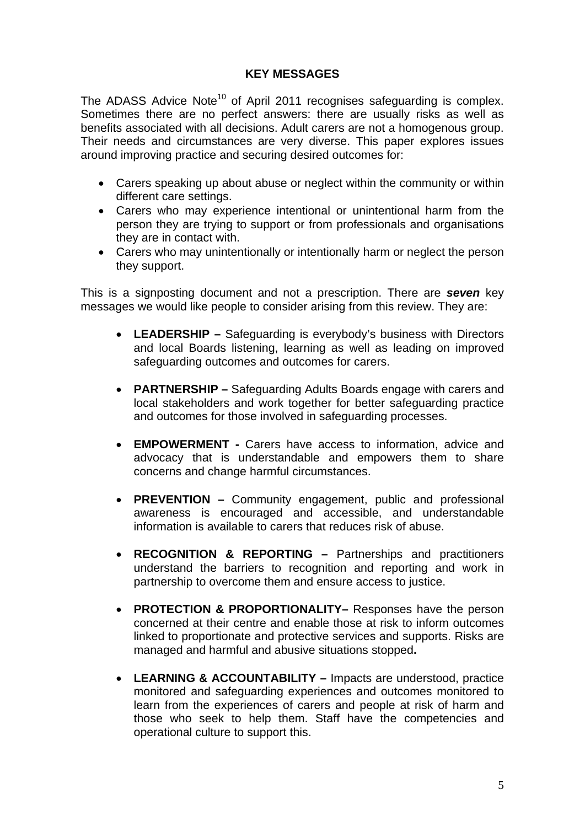## **KEY MESSAGES**

The ADASS Advice Note<sup>10</sup> of April 2011 recognises safeguarding is complex. Sometimes there are no perfect answers: there are usually risks as well as benefits associated with all decisions. Adult carers are not a homogenous group. Their needs and circumstances are very diverse. This paper explores issues around improving practice and securing desired outcomes for:

- Carers speaking up about abuse or neglect within the community or within different care settings.
- Carers who may experience intentional or unintentional harm from the person they are trying to support or from professionals and organisations they are in contact with.
- Carers who may unintentionally or intentionally harm or neglect the person they support.

This is a signposting document and not a prescription. There are *seven* key messages we would like people to consider arising from this review. They are:

- **LEADERSHIP** Safeguarding is everybody's business with Directors and local Boards listening, learning as well as leading on improved safeguarding outcomes and outcomes for carers.
- **PARTNERSHIP** Safeguarding Adults Boards engage with carers and local stakeholders and work together for better safeguarding practice and outcomes for those involved in safeguarding processes.
- **EMPOWERMENT** Carers have access to information, advice and advocacy that is understandable and empowers them to share concerns and change harmful circumstances.
- **PREVENTION** Community engagement, public and professional awareness is encouraged and accessible, and understandable information is available to carers that reduces risk of abuse.
- **RECOGNITION & REPORTING** Partnerships and practitioners understand the barriers to recognition and reporting and work in partnership to overcome them and ensure access to justice.
- **PROTECTION & PROPORTIONALITY–** Responses have the person concerned at their centre and enable those at risk to inform outcomes linked to proportionate and protective services and supports. Risks are managed and harmful and abusive situations stopped**.**
- **LEARNING & ACCOUNTABILITY** Impacts are understood, practice monitored and safeguarding experiences and outcomes monitored to learn from the experiences of carers and people at risk of harm and those who seek to help them. Staff have the competencies and operational culture to support this.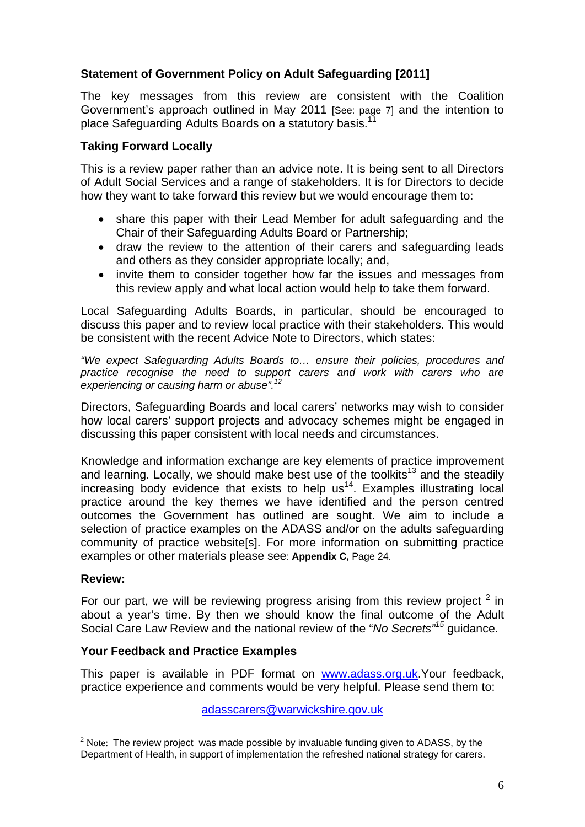## **Statement of Government Policy on Adult Safeguarding [2011]**

The key messages from this review are consistent with the Coalition Government's approach outlined in May 2011 [See: page 7] and the intention to place Safeguarding Adults Boards on a statutory basis.<sup>11</sup>

## **Taking Forward Locally**

This is a review paper rather than an advice note. It is being sent to all Directors of Adult Social Services and a range of stakeholders. It is for Directors to decide how they want to take forward this review but we would encourage them to:

- share this paper with their Lead Member for adult safeguarding and the Chair of their Safeguarding Adults Board or Partnership;
- draw the review to the attention of their carers and safeguarding leads and others as they consider appropriate locally; and,
- invite them to consider together how far the issues and messages from this review apply and what local action would help to take them forward.

Local Safeguarding Adults Boards, in particular, should be encouraged to discuss this paper and to review local practice with their stakeholders. This would be consistent with the recent Advice Note to Directors, which states:

*"We expect Safeguarding Adults Boards to… ensure their policies, procedures and practice recognise the need to support carers and work with carers who are experiencing or causing harm or abuse".<sup>12</sup>*

Directors, Safeguarding Boards and local carers' networks may wish to consider how local carers' support projects and advocacy schemes might be engaged in discussing this paper consistent with local needs and circumstances.

Knowledge and information exchange are key elements of practice improvement and learning. Locally, we should make best use of the toolkits<sup>13</sup> and the steadily increasing body evidence that exists to help  $us<sup>14</sup>$ . Examples illustrating local practice around the key themes we have identified and the person centred outcomes the Government has outlined are sought. We aim to include a selection of practice examples on the ADASS and/or on the adults safeguarding community of practice website[s]. For more information on submitting practice examples or other materials please see: **Appendix C,** Page 24.

## **Review:**

For our part, we will be reviewing progress arising from this review project  $2$  in about a year's time. By then we should know the final outcome of the Adult Social Care Law Review and the national review of the "*No Secrets"15* guidance.

## **Your Feedback and Practice Examples**

This paper is available in PDF format on www.adass.org.uk.Your feedback, practice experience and comments would be very helpful. Please send them to:

adasscarers@warwickshire.gov.uk

 $\overline{a}$  $2$  Note: The review project was made possible by invaluable funding given to ADASS, by the Department of Health, in support of implementation the refreshed national strategy for carers.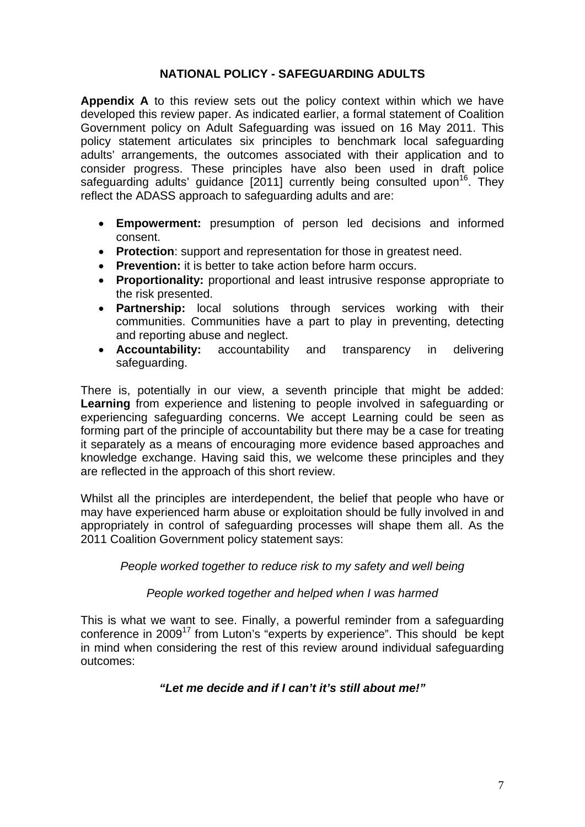## **NATIONAL POLICY - SAFEGUARDING ADULTS**

**Appendix A** to this review sets out the policy context within which we have developed this review paper. As indicated earlier, a formal statement of Coalition Government policy on Adult Safeguarding was issued on 16 May 2011. This policy statement articulates six principles to benchmark local safeguarding adults' arrangements, the outcomes associated with their application and to consider progress. These principles have also been used in draft police safeguarding adults' guidance [2011] currently being consulted upon<sup>16</sup>. They reflect the ADASS approach to safeguarding adults and are:

- **Empowerment:** presumption of person led decisions and informed consent.
- **Protection**: support and representation for those in greatest need.
- **Prevention:** it is better to take action before harm occurs.
- **Proportionality:** proportional and least intrusive response appropriate to the risk presented.
- **Partnership:** local solutions through services working with their communities. Communities have a part to play in preventing, detecting and reporting abuse and neglect.
- **Accountability:** accountability and transparency in delivering safeguarding.

There is, potentially in our view, a seventh principle that might be added: **Learning** from experience and listening to people involved in safeguarding or experiencing safeguarding concerns. We accept Learning could be seen as forming part of the principle of accountability but there may be a case for treating it separately as a means of encouraging more evidence based approaches and knowledge exchange. Having said this, we welcome these principles and they are reflected in the approach of this short review.

Whilst all the principles are interdependent, the belief that people who have or may have experienced harm abuse or exploitation should be fully involved in and appropriately in control of safeguarding processes will shape them all. As the 2011 Coalition Government policy statement says:

#### *People worked together to reduce risk to my safety and well being*

#### *People worked together and helped when I was harmed*

This is what we want to see. Finally, a powerful reminder from a safeguarding conference in 2009<sup>17</sup> from Luton's "experts by experience". This should be kept in mind when considering the rest of this review around individual safeguarding outcomes:

## *"Let me decide and if I can't it's still about me!"*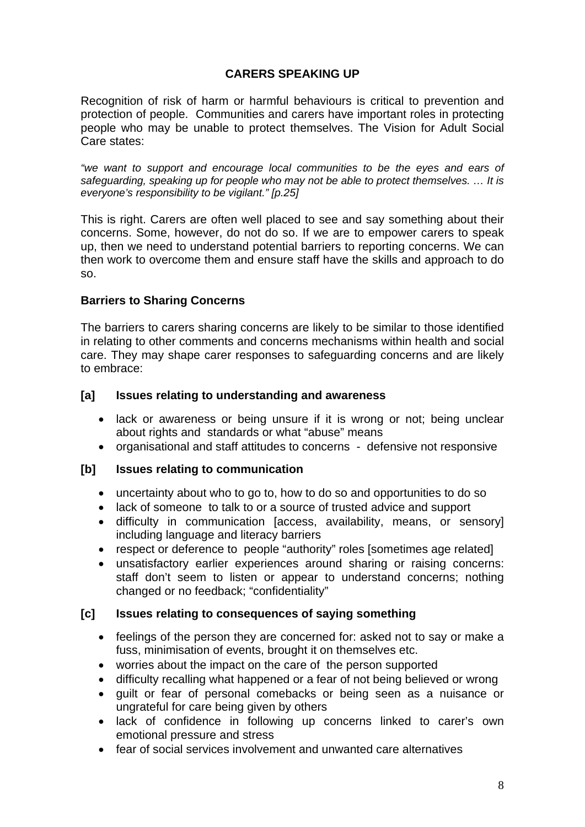## **CARERS SPEAKING UP**

Recognition of risk of harm or harmful behaviours is critical to prevention and protection of people. Communities and carers have important roles in protecting people who may be unable to protect themselves. The Vision for Adult Social Care states:

*"we want to support and encourage local communities to be the eyes and ears of safeguarding, speaking up for people who may not be able to protect themselves. … It is everyone's responsibility to be vigilant." [p.25]* 

This is right. Carers are often well placed to see and say something about their concerns. Some, however, do not do so. If we are to empower carers to speak up, then we need to understand potential barriers to reporting concerns. We can then work to overcome them and ensure staff have the skills and approach to do so.

## **Barriers to Sharing Concerns**

The barriers to carers sharing concerns are likely to be similar to those identified in relating to other comments and concerns mechanisms within health and social care. They may shape carer responses to safeguarding concerns and are likely to embrace:

#### **[a] Issues relating to understanding and awareness**

- lack or awareness or being unsure if it is wrong or not; being unclear about rights and standards or what "abuse" means
- organisational and staff attitudes to concerns defensive not responsive

#### **[b] Issues relating to communication**

- uncertainty about who to go to, how to do so and opportunities to do so
- lack of someone to talk to or a source of trusted advice and support
- difficulty in communication [access, availability, means, or sensory] including language and literacy barriers
- respect or deference to people "authority" roles [sometimes age related]
- unsatisfactory earlier experiences around sharing or raising concerns: staff don't seem to listen or appear to understand concerns; nothing changed or no feedback; "confidentiality"

#### **[c] Issues relating to consequences of saying something**

- feelings of the person they are concerned for: asked not to say or make a fuss, minimisation of events, brought it on themselves etc.
- worries about the impact on the care of the person supported
- difficulty recalling what happened or a fear of not being believed or wrong
- guilt or fear of personal comebacks or being seen as a nuisance or ungrateful for care being given by others
- lack of confidence in following up concerns linked to carer's own emotional pressure and stress
- fear of social services involvement and unwanted care alternatives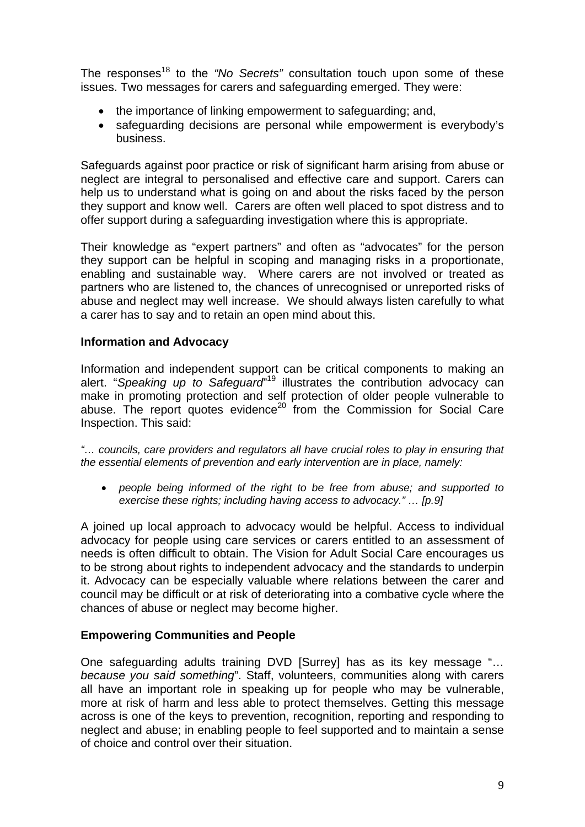The responses<sup>18</sup> to the "No Secrets" consultation touch upon some of these issues. Two messages for carers and safeguarding emerged. They were:

- the importance of linking empowerment to safeguarding; and,
- safeguarding decisions are personal while empowerment is everybody's business.

Safeguards against poor practice or risk of significant harm arising from abuse or neglect are integral to personalised and effective care and support. Carers can help us to understand what is going on and about the risks faced by the person they support and know well. Carers are often well placed to spot distress and to offer support during a safeguarding investigation where this is appropriate.

Their knowledge as "expert partners" and often as "advocates" for the person they support can be helpful in scoping and managing risks in a proportionate, enabling and sustainable way. Where carers are not involved or treated as partners who are listened to, the chances of unrecognised or unreported risks of abuse and neglect may well increase. We should always listen carefully to what a carer has to say and to retain an open mind about this.

## **Information and Advocacy**

Information and independent support can be critical components to making an alert. "*Speaking up to Safeguard*" 19 illustrates the contribution advocacy can make in promoting protection and self protection of older people vulnerable to abuse. The report quotes evidence<sup>20</sup> from the Commission for Social Care Inspection. This said:

*"… councils, care providers and regulators all have crucial roles to play in ensuring that the essential elements of prevention and early intervention are in place, namely:* 

• *people being informed of the right to be free from abuse; and supported to exercise these rights; including having access to advocacy." … [p.9]* 

A joined up local approach to advocacy would be helpful. Access to individual advocacy for people using care services or carers entitled to an assessment of needs is often difficult to obtain. The Vision for Adult Social Care encourages us to be strong about rights to independent advocacy and the standards to underpin it. Advocacy can be especially valuable where relations between the carer and council may be difficult or at risk of deteriorating into a combative cycle where the chances of abuse or neglect may become higher.

#### **Empowering Communities and People**

One safeguarding adults training DVD [Surrey] has as its key message "… *because you said something*". Staff, volunteers, communities along with carers all have an important role in speaking up for people who may be vulnerable, more at risk of harm and less able to protect themselves. Getting this message across is one of the keys to prevention, recognition, reporting and responding to neglect and abuse; in enabling people to feel supported and to maintain a sense of choice and control over their situation.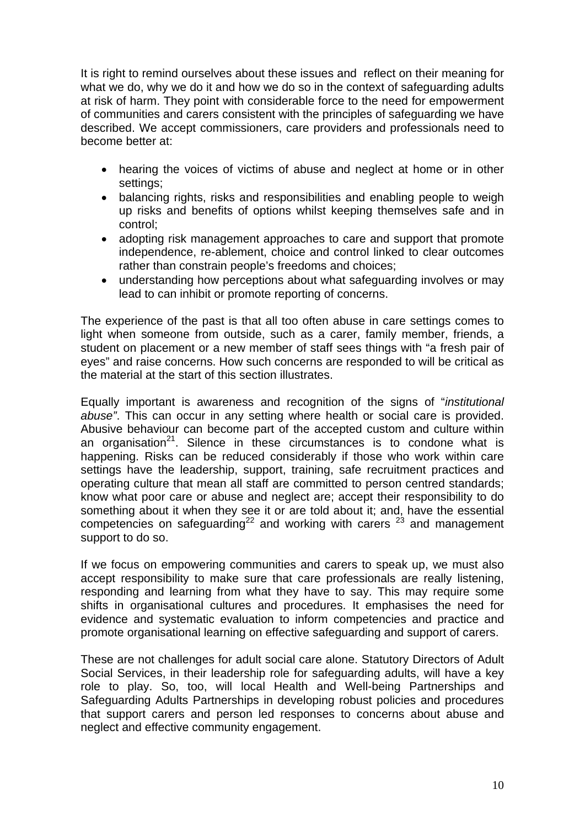It is right to remind ourselves about these issues and reflect on their meaning for what we do, why we do it and how we do so in the context of safeguarding adults at risk of harm. They point with considerable force to the need for empowerment of communities and carers consistent with the principles of safeguarding we have described. We accept commissioners, care providers and professionals need to become better at:

- hearing the voices of victims of abuse and neglect at home or in other settings;
- balancing rights, risks and responsibilities and enabling people to weigh up risks and benefits of options whilst keeping themselves safe and in control;
- adopting risk management approaches to care and support that promote independence, re-ablement, choice and control linked to clear outcomes rather than constrain people's freedoms and choices;
- understanding how perceptions about what safeguarding involves or may lead to can inhibit or promote reporting of concerns.

The experience of the past is that all too often abuse in care settings comes to light when someone from outside, such as a carer, family member, friends, a student on placement or a new member of staff sees things with "a fresh pair of eyes" and raise concerns. How such concerns are responded to will be critical as the material at the start of this section illustrates.

Equally important is awareness and recognition of the signs of "*institutional abuse"*. This can occur in any setting where health or social care is provided. Abusive behaviour can become part of the accepted custom and culture within an organisation<sup>21</sup>. Silence in these circumstances is to condone what is happening. Risks can be reduced considerably if those who work within care settings have the leadership, support, training, safe recruitment practices and operating culture that mean all staff are committed to person centred standards; know what poor care or abuse and neglect are; accept their responsibility to do something about it when they see it or are told about it; and, have the essential competencies on safeguarding $2^2$  and working with carers  $2^3$  and management support to do so.

If we focus on empowering communities and carers to speak up, we must also accept responsibility to make sure that care professionals are really listening, responding and learning from what they have to say. This may require some shifts in organisational cultures and procedures. It emphasises the need for evidence and systematic evaluation to inform competencies and practice and promote organisational learning on effective safeguarding and support of carers.

These are not challenges for adult social care alone. Statutory Directors of Adult Social Services, in their leadership role for safeguarding adults, will have a key role to play. So, too, will local Health and Well-being Partnerships and Safeguarding Adults Partnerships in developing robust policies and procedures that support carers and person led responses to concerns about abuse and neglect and effective community engagement.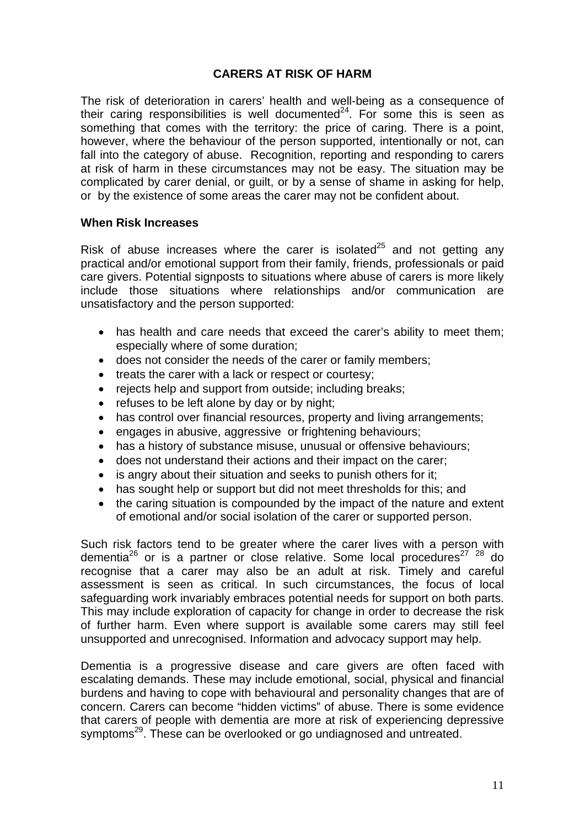## **CARERS AT RISK OF HARM**

The risk of deterioration in carers' health and well-being as a consequence of their caring responsibilities is well documented<sup>24</sup>. For some this is seen as something that comes with the territory: the price of caring. There is a point, however, where the behaviour of the person supported, intentionally or not, can fall into the category of abuse. Recognition, reporting and responding to carers at risk of harm in these circumstances may not be easy. The situation may be complicated by carer denial, or guilt, or by a sense of shame in asking for help, or by the existence of some areas the carer may not be confident about.

#### **When Risk Increases**

Risk of abuse increases where the carer is isolated<sup>25</sup> and not getting any practical and/or emotional support from their family, friends, professionals or paid care givers. Potential signposts to situations where abuse of carers is more likely include those situations where relationships and/or communication are unsatisfactory and the person supported:

- has health and care needs that exceed the carer's ability to meet them: especially where of some duration;
- does not consider the needs of the carer or family members;
- treats the carer with a lack or respect or courtesy;
- rejects help and support from outside; including breaks;
- refuses to be left alone by day or by night;
- has control over financial resources, property and living arrangements;
- engages in abusive, aggressive or frightening behaviours;
- has a history of substance misuse, unusual or offensive behaviours;
- does not understand their actions and their impact on the carer;
- is angry about their situation and seeks to punish others for it;
- has sought help or support but did not meet thresholds for this; and
- the caring situation is compounded by the impact of the nature and extent of emotional and/or social isolation of the carer or supported person.

Such risk factors tend to be greater where the carer lives with a person with dementia<sup>26</sup> or is a partner or close relative. Some local procedures<sup>27 28</sup> do recognise that a carer may also be an adult at risk. Timely and careful assessment is seen as critical. In such circumstances, the focus of local safeguarding work invariably embraces potential needs for support on both parts. This may include exploration of capacity for change in order to decrease the risk of further harm. Even where support is available some carers may still feel unsupported and unrecognised. Information and advocacy support may help.

Dementia is a progressive disease and care givers are often faced with escalating demands. These may include emotional, social, physical and financial burdens and having to cope with behavioural and personality changes that are of concern. Carers can become "hidden victims" of abuse. There is some evidence that carers of people with dementia are more at risk of experiencing depressive symptoms<sup>29</sup>. These can be overlooked or go undiagnosed and untreated.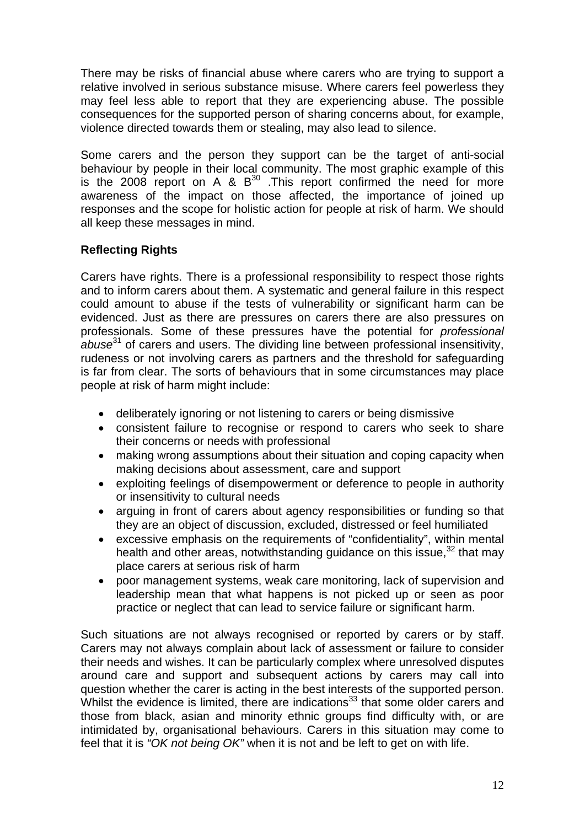There may be risks of financial abuse where carers who are trying to support a relative involved in serious substance misuse. Where carers feel powerless they may feel less able to report that they are experiencing abuse. The possible consequences for the supported person of sharing concerns about, for example, violence directed towards them or stealing, may also lead to silence.

Some carers and the person they support can be the target of anti-social behaviour by people in their local community. The most graphic example of this is the 2008 report on A  $\&$  B<sup>30</sup>. This report confirmed the need for more awareness of the impact on those affected, the importance of joined up responses and the scope for holistic action for people at risk of harm. We should all keep these messages in mind.

## **Reflecting Rights**

Carers have rights. There is a professional responsibility to respect those rights and to inform carers about them. A systematic and general failure in this respect could amount to abuse if the tests of vulnerability or significant harm can be evidenced. Just as there are pressures on carers there are also pressures on professionals. Some of these pressures have the potential for *professional abuse*<sup>31</sup> of carers and users. The dividing line between professional insensitivity, rudeness or not involving carers as partners and the threshold for safeguarding is far from clear. The sorts of behaviours that in some circumstances may place people at risk of harm might include:

- deliberately ignoring or not listening to carers or being dismissive
- consistent failure to recognise or respond to carers who seek to share their concerns or needs with professional
- making wrong assumptions about their situation and coping capacity when making decisions about assessment, care and support
- exploiting feelings of disempowerment or deference to people in authority or insensitivity to cultural needs
- arguing in front of carers about agency responsibilities or funding so that they are an object of discussion, excluded, distressed or feel humiliated
- excessive emphasis on the requirements of "confidentiality", within mental health and other areas, notwithstanding guidance on this issue,  $32$  that may place carers at serious risk of harm
- poor management systems, weak care monitoring, lack of supervision and leadership mean that what happens is not picked up or seen as poor practice or neglect that can lead to service failure or significant harm.

Such situations are not always recognised or reported by carers or by staff. Carers may not always complain about lack of assessment or failure to consider their needs and wishes. It can be particularly complex where unresolved disputes around care and support and subsequent actions by carers may call into question whether the carer is acting in the best interests of the supported person. Whilst the evidence is limited, there are indications $33$  that some older carers and those from black, asian and minority ethnic groups find difficulty with, or are intimidated by, organisational behaviours. Carers in this situation may come to feel that it is *"OK not being OK"* when it is not and be left to get on with life.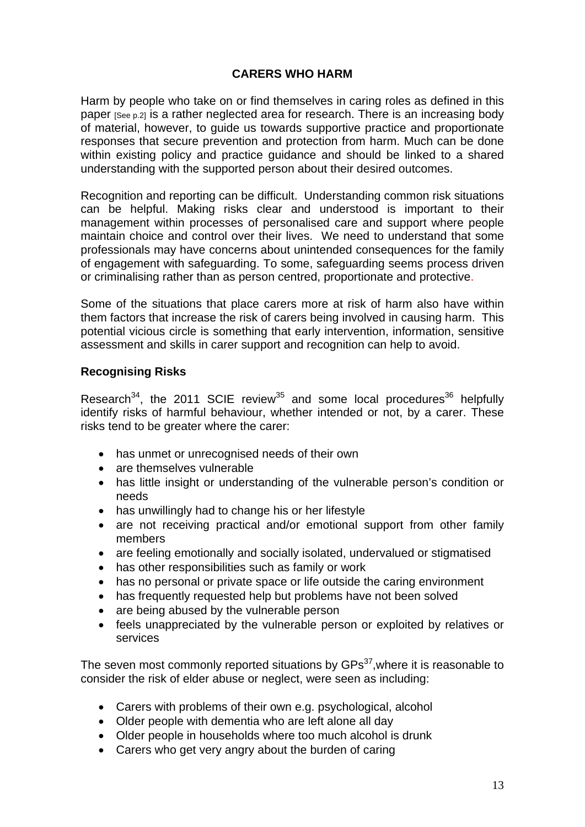## **CARERS WHO HARM**

Harm by people who take on or find themselves in caring roles as defined in this paper [See p.2] is a rather neglected area for research. There is an increasing body of material, however, to guide us towards supportive practice and proportionate responses that secure prevention and protection from harm. Much can be done within existing policy and practice guidance and should be linked to a shared understanding with the supported person about their desired outcomes.

Recognition and reporting can be difficult. Understanding common risk situations can be helpful. Making risks clear and understood is important to their management within processes of personalised care and support where people maintain choice and control over their lives. We need to understand that some professionals may have concerns about unintended consequences for the family of engagement with safeguarding. To some, safeguarding seems process driven or criminalising rather than as person centred, proportionate and protective.

Some of the situations that place carers more at risk of harm also have within them factors that increase the risk of carers being involved in causing harm. This potential vicious circle is something that early intervention, information, sensitive assessment and skills in carer support and recognition can help to avoid.

#### **Recognising Risks**

Research<sup>34</sup>, the 2011 SCIE review<sup>35</sup> and some local procedures<sup>36</sup> helpfully identify risks of harmful behaviour, whether intended or not, by a carer. These risks tend to be greater where the carer:

- has unmet or unrecognised needs of their own
- are themselves vulnerable
- has little insight or understanding of the vulnerable person's condition or needs
- has unwillingly had to change his or her lifestyle
- are not receiving practical and/or emotional support from other family members
- are feeling emotionally and socially isolated, undervalued or stigmatised
- has other responsibilities such as family or work
- has no personal or private space or life outside the caring environment
- has frequently requested help but problems have not been solved
- are being abused by the vulnerable person
- feels unappreciated by the vulnerable person or exploited by relatives or services

The seven most commonly reported situations by  $\text{GPs}^{37}$ , where it is reasonable to consider the risk of elder abuse or neglect, were seen as including:

- Carers with problems of their own e.g. psychological, alcohol
- Older people with dementia who are left alone all day
- Older people in households where too much alcohol is drunk
- Carers who get very angry about the burden of caring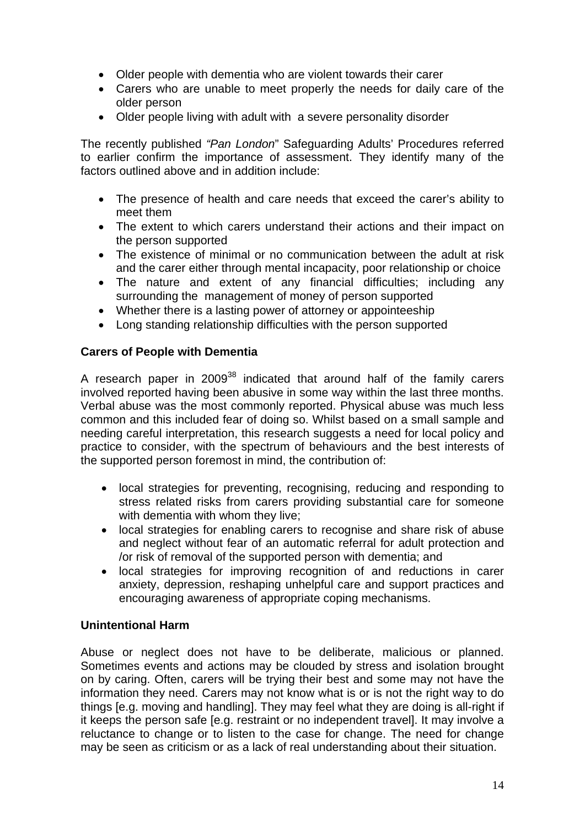- Older people with dementia who are violent towards their carer
- Carers who are unable to meet properly the needs for daily care of the older person
- Older people living with adult with a severe personality disorder

The recently published *"Pan London*" Safeguarding Adults' Procedures referred to earlier confirm the importance of assessment. They identify many of the factors outlined above and in addition include:

- The presence of health and care needs that exceed the carer's ability to meet them
- The extent to which carers understand their actions and their impact on the person supported
- The existence of minimal or no communication between the adult at risk and the carer either through mental incapacity, poor relationship or choice
- The nature and extent of any financial difficulties; including any surrounding the management of money of person supported
- Whether there is a lasting power of attorney or appointeeship
- Long standing relationship difficulties with the person supported

#### **Carers of People with Dementia**

A research paper in 2009<sup>38</sup> indicated that around half of the family carers involved reported having been abusive in some way within the last three months. Verbal abuse was the most commonly reported. Physical abuse was much less common and this included fear of doing so. Whilst based on a small sample and needing careful interpretation, this research suggests a need for local policy and practice to consider, with the spectrum of behaviours and the best interests of the supported person foremost in mind, the contribution of:

- local strategies for preventing, recognising, reducing and responding to stress related risks from carers providing substantial care for someone with dementia with whom they live;
- local strategies for enabling carers to recognise and share risk of abuse and neglect without fear of an automatic referral for adult protection and /or risk of removal of the supported person with dementia; and
- local strategies for improving recognition of and reductions in carer anxiety, depression, reshaping unhelpful care and support practices and encouraging awareness of appropriate coping mechanisms.

#### **Unintentional Harm**

Abuse or neglect does not have to be deliberate, malicious or planned. Sometimes events and actions may be clouded by stress and isolation brought on by caring. Often, carers will be trying their best and some may not have the information they need. Carers may not know what is or is not the right way to do things [e.g. moving and handling]. They may feel what they are doing is all-right if it keeps the person safe [e.g. restraint or no independent travel]. It may involve a reluctance to change or to listen to the case for change. The need for change may be seen as criticism or as a lack of real understanding about their situation.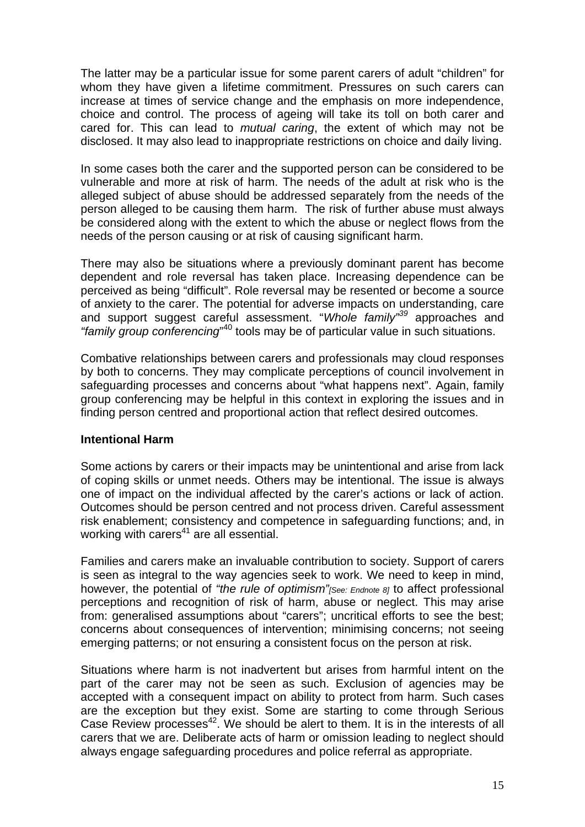The latter may be a particular issue for some parent carers of adult "children" for whom they have given a lifetime commitment. Pressures on such carers can increase at times of service change and the emphasis on more independence, choice and control. The process of ageing will take its toll on both carer and cared for. This can lead to *mutual caring*, the extent of which may not be disclosed. It may also lead to inappropriate restrictions on choice and daily living.

In some cases both the carer and the supported person can be considered to be vulnerable and more at risk of harm. The needs of the adult at risk who is the alleged subject of abuse should be addressed separately from the needs of the person alleged to be causing them harm. The risk of further abuse must always be considered along with the extent to which the abuse or neglect flows from the needs of the person causing or at risk of causing significant harm.

There may also be situations where a previously dominant parent has become dependent and role reversal has taken place. Increasing dependence can be perceived as being "difficult". Role reversal may be resented or become a source of anxiety to the carer. The potential for adverse impacts on understanding, care and support suggest careful assessment. "*Whole family"<sup>39</sup>* approaches and *"family group conferencing*" 40 tools may be of particular value in such situations.

Combative relationships between carers and professionals may cloud responses by both to concerns. They may complicate perceptions of council involvement in safeguarding processes and concerns about "what happens next". Again, family group conferencing may be helpful in this context in exploring the issues and in finding person centred and proportional action that reflect desired outcomes.

#### **Intentional Harm**

Some actions by carers or their impacts may be unintentional and arise from lack of coping skills or unmet needs. Others may be intentional. The issue is always one of impact on the individual affected by the carer's actions or lack of action. Outcomes should be person centred and not process driven. Careful assessment risk enablement; consistency and competence in safeguarding functions; and, in working with carers<sup>41</sup> are all essential.

Families and carers make an invaluable contribution to society. Support of carers is seen as integral to the way agencies seek to work. We need to keep in mind, however, the potential of *"the rule of optimism"[See: Endnote 8]* to affect professional perceptions and recognition of risk of harm, abuse or neglect. This may arise from: generalised assumptions about "carers"; uncritical efforts to see the best; concerns about consequences of intervention; minimising concerns; not seeing emerging patterns; or not ensuring a consistent focus on the person at risk.

Situations where harm is not inadvertent but arises from harmful intent on the part of the carer may not be seen as such. Exclusion of agencies may be accepted with a consequent impact on ability to protect from harm. Such cases are the exception but they exist. Some are starting to come through Serious Case Review processes<sup>42</sup>. We should be alert to them. It is in the interests of all carers that we are. Deliberate acts of harm or omission leading to neglect should always engage safeguarding procedures and police referral as appropriate.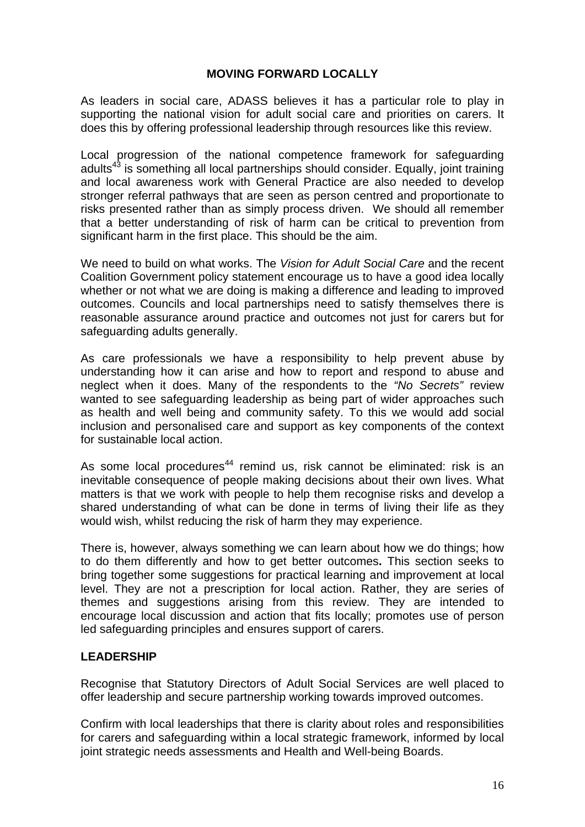## **MOVING FORWARD LOCALLY**

As leaders in social care, ADASS believes it has a particular role to play in supporting the national vision for adult social care and priorities on carers. It does this by offering professional leadership through resources like this review.

Local progression of the national competence framework for safeguarding adults<sup>43</sup> is something all local partnerships should consider. Equally, joint training and local awareness work with General Practice are also needed to develop stronger referral pathways that are seen as person centred and proportionate to risks presented rather than as simply process driven. We should all remember that a better understanding of risk of harm can be critical to prevention from significant harm in the first place. This should be the aim.

We need to build on what works. The *Vision for Adult Social Care* and the recent Coalition Government policy statement encourage us to have a good idea locally whether or not what we are doing is making a difference and leading to improved outcomes. Councils and local partnerships need to satisfy themselves there is reasonable assurance around practice and outcomes not just for carers but for safeguarding adults generally.

As care professionals we have a responsibility to help prevent abuse by understanding how it can arise and how to report and respond to abuse and neglect when it does. Many of the respondents to the *"No Secrets"* review wanted to see safeguarding leadership as being part of wider approaches such as health and well being and community safety. To this we would add social inclusion and personalised care and support as key components of the context for sustainable local action.

As some local procedures<sup>44</sup> remind us, risk cannot be eliminated: risk is an inevitable consequence of people making decisions about their own lives. What matters is that we work with people to help them recognise risks and develop a shared understanding of what can be done in terms of living their life as they would wish, whilst reducing the risk of harm they may experience.

There is, however, always something we can learn about how we do things; how to do them differently and how to get better outcomes**.** This section seeks to bring together some suggestions for practical learning and improvement at local level. They are not a prescription for local action. Rather, they are series of themes and suggestions arising from this review. They are intended to encourage local discussion and action that fits locally; promotes use of person led safeguarding principles and ensures support of carers.

#### **LEADERSHIP**

Recognise that Statutory Directors of Adult Social Services are well placed to offer leadership and secure partnership working towards improved outcomes.

Confirm with local leaderships that there is clarity about roles and responsibilities for carers and safeguarding within a local strategic framework, informed by local joint strategic needs assessments and Health and Well-being Boards.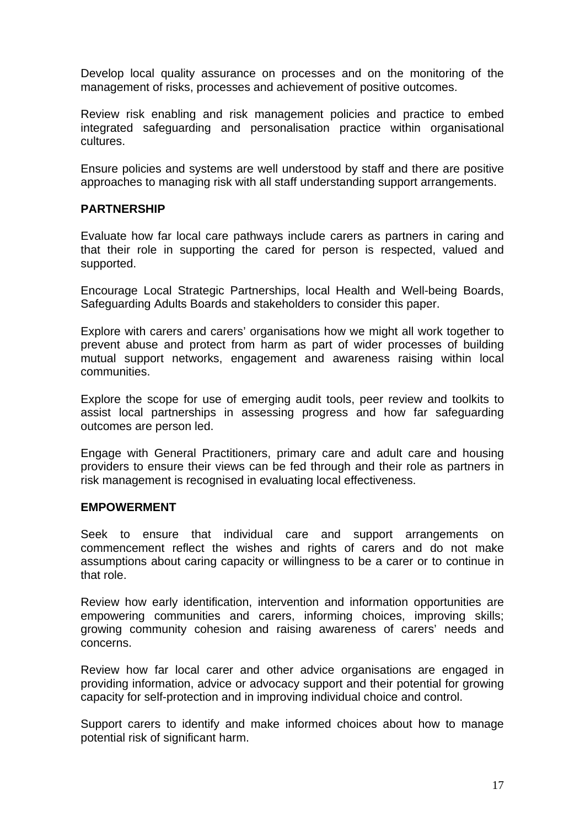Develop local quality assurance on processes and on the monitoring of the management of risks, processes and achievement of positive outcomes.

Review risk enabling and risk management policies and practice to embed integrated safeguarding and personalisation practice within organisational cultures.

Ensure policies and systems are well understood by staff and there are positive approaches to managing risk with all staff understanding support arrangements.

#### **PARTNERSHIP**

Evaluate how far local care pathways include carers as partners in caring and that their role in supporting the cared for person is respected, valued and supported.

Encourage Local Strategic Partnerships, local Health and Well-being Boards, Safeguarding Adults Boards and stakeholders to consider this paper.

Explore with carers and carers' organisations how we might all work together to prevent abuse and protect from harm as part of wider processes of building mutual support networks, engagement and awareness raising within local communities.

Explore the scope for use of emerging audit tools, peer review and toolkits to assist local partnerships in assessing progress and how far safeguarding outcomes are person led.

Engage with General Practitioners, primary care and adult care and housing providers to ensure their views can be fed through and their role as partners in risk management is recognised in evaluating local effectiveness.

#### **EMPOWERMENT**

Seek to ensure that individual care and support arrangements on commencement reflect the wishes and rights of carers and do not make assumptions about caring capacity or willingness to be a carer or to continue in that role.

Review how early identification, intervention and information opportunities are empowering communities and carers, informing choices, improving skills; growing community cohesion and raising awareness of carers' needs and concerns.

Review how far local carer and other advice organisations are engaged in providing information, advice or advocacy support and their potential for growing capacity for self-protection and in improving individual choice and control.

Support carers to identify and make informed choices about how to manage potential risk of significant harm.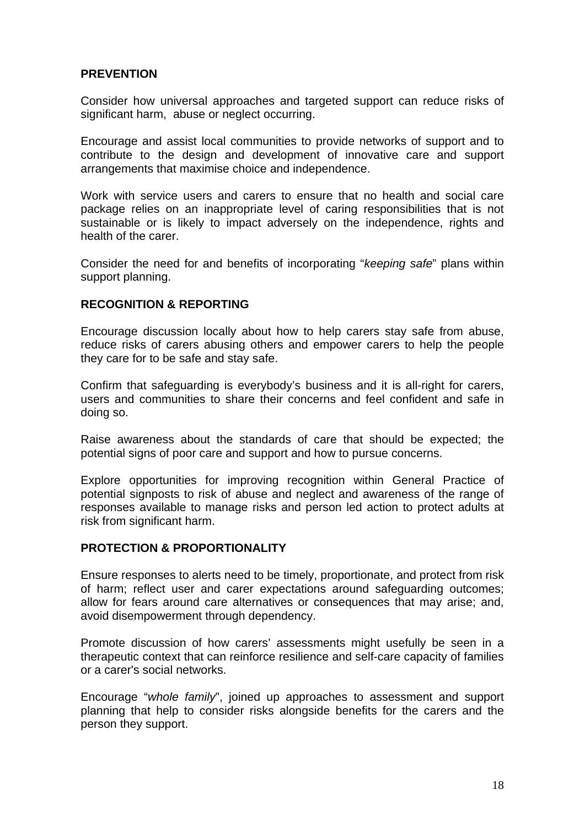### **PREVENTION**

Consider how universal approaches and targeted support can reduce risks of significant harm, abuse or neglect occurring.

Encourage and assist local communities to provide networks of support and to contribute to the design and development of innovative care and support arrangements that maximise choice and independence.

Work with service users and carers to ensure that no health and social care package relies on an inappropriate level of caring responsibilities that is not sustainable or is likely to impact adversely on the independence, rights and health of the carer.

Consider the need for and benefits of incorporating "*keeping safe*" plans within support planning.

#### **RECOGNITION & REPORTING**

Encourage discussion locally about how to help carers stay safe from abuse, reduce risks of carers abusing others and empower carers to help the people they care for to be safe and stay safe.

Confirm that safeguarding is everybody's business and it is all-right for carers, users and communities to share their concerns and feel confident and safe in doing so.

Raise awareness about the standards of care that should be expected; the potential signs of poor care and support and how to pursue concerns.

Explore opportunities for improving recognition within General Practice of potential signposts to risk of abuse and neglect and awareness of the range of responses available to manage risks and person led action to protect adults at risk from significant harm.

#### **PROTECTION & PROPORTIONALITY**

Ensure responses to alerts need to be timely, proportionate, and protect from risk of harm; reflect user and carer expectations around safeguarding outcomes; allow for fears around care alternatives or consequences that may arise; and, avoid disempowerment through dependency.

Promote discussion of how carers' assessments might usefully be seen in a therapeutic context that can reinforce resilience and self-care capacity of families or a carer's social networks.

Encourage "*whole family*", joined up approaches to assessment and support planning that help to consider risks alongside benefits for the carers and the person they support.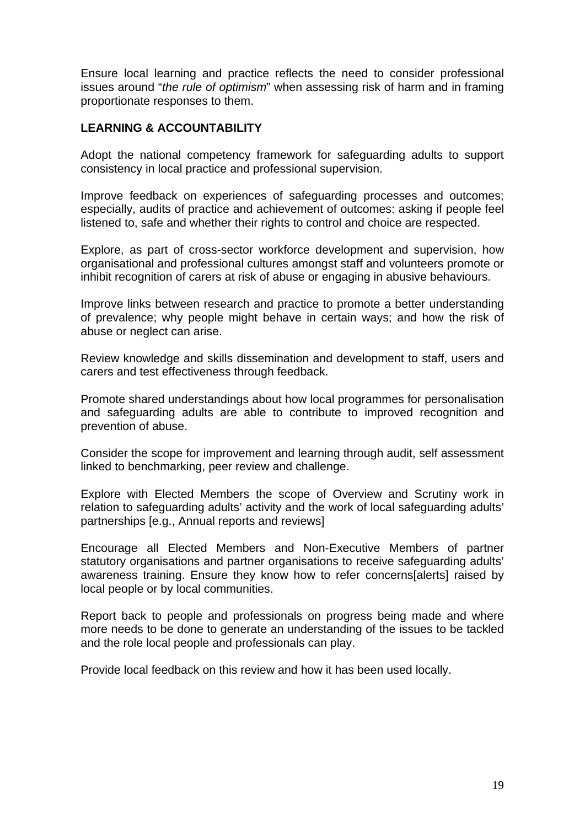Ensure local learning and practice reflects the need to consider professional issues around "*the rule of optimism*" when assessing risk of harm and in framing proportionate responses to them.

### **LEARNING & ACCOUNTABILITY**

Adopt the national competency framework for safeguarding adults to support consistency in local practice and professional supervision.

Improve feedback on experiences of safeguarding processes and outcomes; especially, audits of practice and achievement of outcomes: asking if people feel listened to, safe and whether their rights to control and choice are respected.

Explore, as part of cross-sector workforce development and supervision, how organisational and professional cultures amongst staff and volunteers promote or inhibit recognition of carers at risk of abuse or engaging in abusive behaviours.

Improve links between research and practice to promote a better understanding of prevalence; why people might behave in certain ways; and how the risk of abuse or neglect can arise.

Review knowledge and skills dissemination and development to staff, users and carers and test effectiveness through feedback.

Promote shared understandings about how local programmes for personalisation and safeguarding adults are able to contribute to improved recognition and prevention of abuse.

Consider the scope for improvement and learning through audit, self assessment linked to benchmarking, peer review and challenge.

Explore with Elected Members the scope of Overview and Scrutiny work in relation to safeguarding adults' activity and the work of local safeguarding adults' partnerships [e.g., Annual reports and reviews]

Encourage all Elected Members and Non-Executive Members of partner statutory organisations and partner organisations to receive safeguarding adults' awareness training. Ensure they know how to refer concerns[alerts] raised by local people or by local communities.

Report back to people and professionals on progress being made and where more needs to be done to generate an understanding of the issues to be tackled and the role local people and professionals can play.

Provide local feedback on this review and how it has been used locally.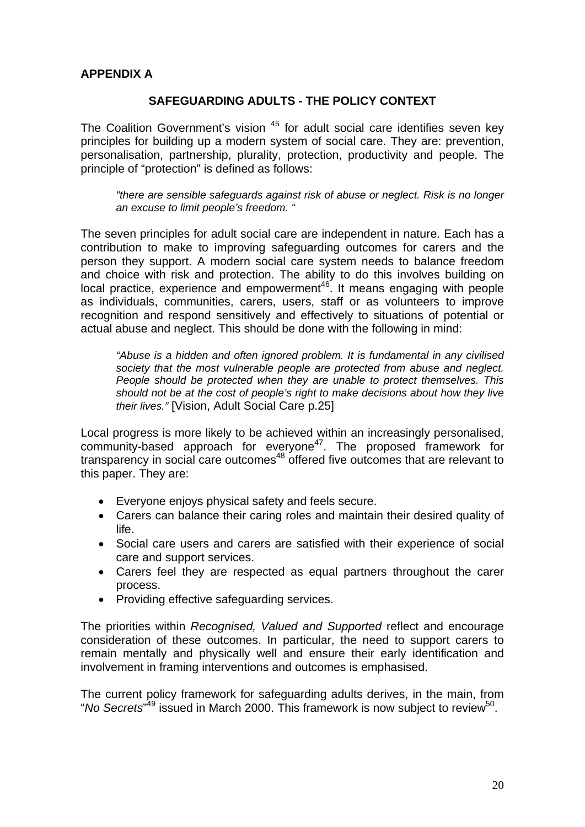## **APPENDIX A**

### **SAFEGUARDING ADULTS - THE POLICY CONTEXT**

The Coalition Government's vision <sup>45</sup> for adult social care identifies seven key principles for building up a modern system of social care. They are: prevention, personalisation, partnership, plurality, protection, productivity and people. The principle of "protection" is defined as follows:

*"there are sensible safeguards against risk of abuse or neglect. Risk is no longer an excuse to limit people's freedom. "* 

The seven principles for adult social care are independent in nature. Each has a contribution to make to improving safeguarding outcomes for carers and the person they support. A modern social care system needs to balance freedom and choice with risk and protection. The ability to do this involves building on  $local$  practice, experience and empowerment<sup>46</sup>. It means engaging with people as individuals, communities, carers, users, staff or as volunteers to improve recognition and respond sensitively and effectively to situations of potential or actual abuse and neglect. This should be done with the following in mind:

*"Abuse is a hidden and often ignored problem. It is fundamental in any civilised society that the most vulnerable people are protected from abuse and neglect. People should be protected when they are unable to protect themselves. This should not be at the cost of people's right to make decisions about how they live their lives."* [Vision, Adult Social Care p.25]

Local progress is more likely to be achieved within an increasingly personalised, community-based approach for everyone<sup>47</sup>. The proposed framework for transparency in social care outcomes<sup>48</sup> offered five outcomes that are relevant to this paper. They are:

- Everyone enjoys physical safety and feels secure.
- Carers can balance their caring roles and maintain their desired quality of life.
- Social care users and carers are satisfied with their experience of social care and support services.
- Carers feel they are respected as equal partners throughout the carer process.
- Providing effective safeguarding services.

The priorities within *Recognised, Valued and Supported* reflect and encourage consideration of these outcomes. In particular, the need to support carers to remain mentally and physically well and ensure their early identification and involvement in framing interventions and outcomes is emphasised.

The current policy framework for safeguarding adults derives, in the main, from "No Secrets"<sup>49</sup> issued in March 2000. This framework is now subject to review<sup>50</sup>.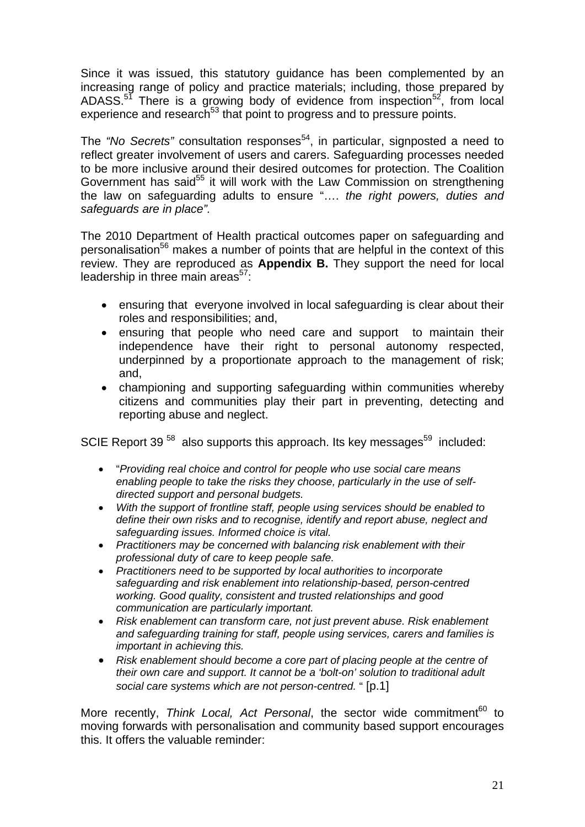Since it was issued, this statutory guidance has been complemented by an increasing range of policy and practice materials; including, those prepared by ADASS. $5^7$  There is a growing body of evidence from inspection<sup>52</sup>, from local experience and research<sup>53</sup> that point to progress and to pressure points.

The *"No Secrets"* consultation responses<sup>54</sup>, in particular, signposted a need to reflect greater involvement of users and carers. Safeguarding processes needed to be more inclusive around their desired outcomes for protection. The Coalition Government has said<sup>55</sup> it will work with the Law Commission on strengthening the law on safeguarding adults to ensure "…. *the right powers, duties and safeguards are in place".* 

The 2010 Department of Health practical outcomes paper on safeguarding and personalisation<sup>56</sup> makes a number of points that are helpful in the context of this review. They are reproduced as **Appendix B.** They support the need for local leadership in three main areas $57$ :

- ensuring that everyone involved in local safeguarding is clear about their roles and responsibilities; and,
- ensuring that people who need care and support to maintain their independence have their right to personal autonomy respected, underpinned by a proportionate approach to the management of risk; and,
- championing and supporting safeguarding within communities whereby citizens and communities play their part in preventing, detecting and reporting abuse and neglect.

SCIE Report 39<sup>58</sup> also supports this approach. Its key messages<sup>59</sup> included:

- "*Providing real choice and control for people who use social care means enabling people to take the risks they choose, particularly in the use of selfdirected support and personal budgets.*
- *With the support of frontline staff, people using services should be enabled to define their own risks and to recognise, identify and report abuse, neglect and safeguarding issues. Informed choice is vital.*
- *Practitioners may be concerned with balancing risk enablement with their professional duty of care to keep people safe.*
- *Practitioners need to be supported by local authorities to incorporate safeguarding and risk enablement into relationship-based, person-centred working. Good quality, consistent and trusted relationships and good communication are particularly important.*
- *Risk enablement can transform care, not just prevent abuse. Risk enablement and safeguarding training for staff, people using services, carers and families is important in achieving this.*
- *Risk enablement should become a core part of placing people at the centre of their own care and support. It cannot be a 'bolt-on' solution to traditional adult social care systems which are not person-centred.* " [p.1]

More recently, *Think Local, Act Personal*, the sector wide commitment<sup>60</sup> to moving forwards with personalisation and community based support encourages this. It offers the valuable reminder: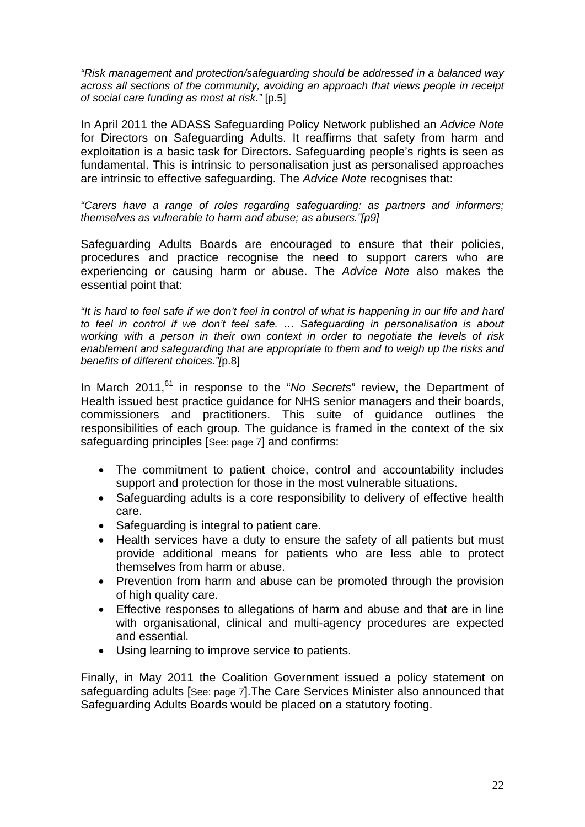*"Risk management and protection/safeguarding should be addressed in a balanced way across all sections of the community, avoiding an approach that views people in receipt of social care funding as most at risk."* [p.5]

In April 2011 the ADASS Safeguarding Policy Network published an *Advice Note* for Directors on Safeguarding Adults. It reaffirms that safety from harm and exploitation is a basic task for Directors. Safeguarding people's rights is seen as fundamental. This is intrinsic to personalisation just as personalised approaches are intrinsic to effective safeguarding. The *Advice Note* recognises that:

*"Carers have a range of roles regarding safeguarding: as partners and informers; themselves as vulnerable to harm and abuse; as abusers."[p9]* 

Safeguarding Adults Boards are encouraged to ensure that their policies, procedures and practice recognise the need to support carers who are experiencing or causing harm or abuse. The *Advice Note* also makes the essential point that:

*"It is hard to feel safe if we don't feel in control of what is happening in our life and hard to feel in control if we don't feel safe. … Safeguarding in personalisation is about working with a person in their own context in order to negotiate the levels of risk enablement and safeguarding that are appropriate to them and to weigh up the risks and benefits of different choices."[*p.8]

In March 2011,<sup>61</sup> in response to the "*No Secrets*" review, the Department of Health issued best practice guidance for NHS senior managers and their boards, commissioners and practitioners. This suite of guidance outlines the responsibilities of each group. The guidance is framed in the context of the six safeguarding principles [See: page 7] and confirms:

- The commitment to patient choice, control and accountability includes support and protection for those in the most vulnerable situations.
- Safeguarding adults is a core responsibility to delivery of effective health care.
- Safeguarding is integral to patient care.
- Health services have a duty to ensure the safety of all patients but must provide additional means for patients who are less able to protect themselves from harm or abuse.
- Prevention from harm and abuse can be promoted through the provision of high quality care.
- Effective responses to allegations of harm and abuse and that are in line with organisational, clinical and multi-agency procedures are expected and essential.
- Using learning to improve service to patients.

Finally, in May 2011 the Coalition Government issued a policy statement on safeguarding adults [See: page 7].The Care Services Minister also announced that Safeguarding Adults Boards would be placed on a statutory footing.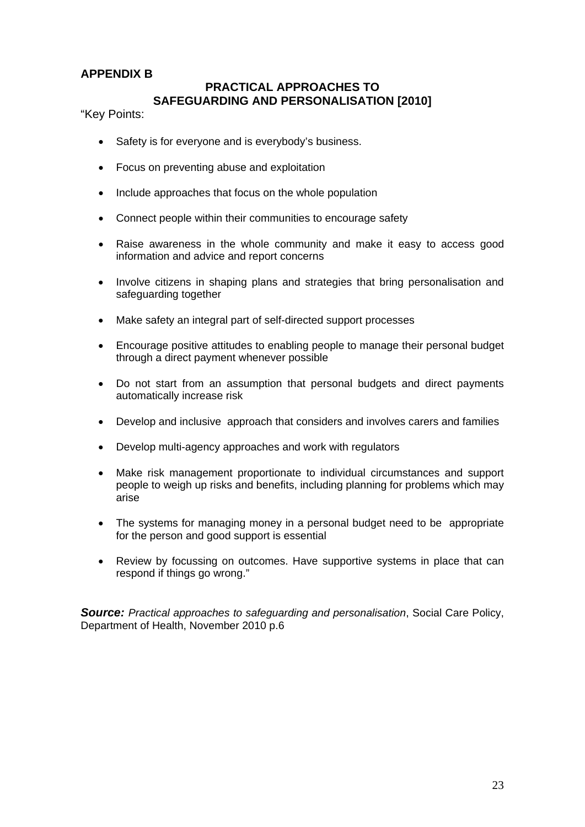## **APPENDIX B**

## **PRACTICAL APPROACHES TO SAFEGUARDING AND PERSONALISATION [2010]**

"Key Points:

- Safety is for everyone and is everybody's business.
- Focus on preventing abuse and exploitation
- Include approaches that focus on the whole population
- Connect people within their communities to encourage safety
- Raise awareness in the whole community and make it easy to access good information and advice and report concerns
- Involve citizens in shaping plans and strategies that bring personalisation and safeguarding together
- Make safety an integral part of self-directed support processes
- Encourage positive attitudes to enabling people to manage their personal budget through a direct payment whenever possible
- Do not start from an assumption that personal budgets and direct payments automatically increase risk
- Develop and inclusive approach that considers and involves carers and families
- Develop multi-agency approaches and work with regulators
- Make risk management proportionate to individual circumstances and support people to weigh up risks and benefits, including planning for problems which may arise
- The systems for managing money in a personal budget need to be appropriate for the person and good support is essential
- Review by focussing on outcomes. Have supportive systems in place that can respond if things go wrong."

*Source: Practical approaches to safeguarding and personalisation*, Social Care Policy, Department of Health, November 2010 p.6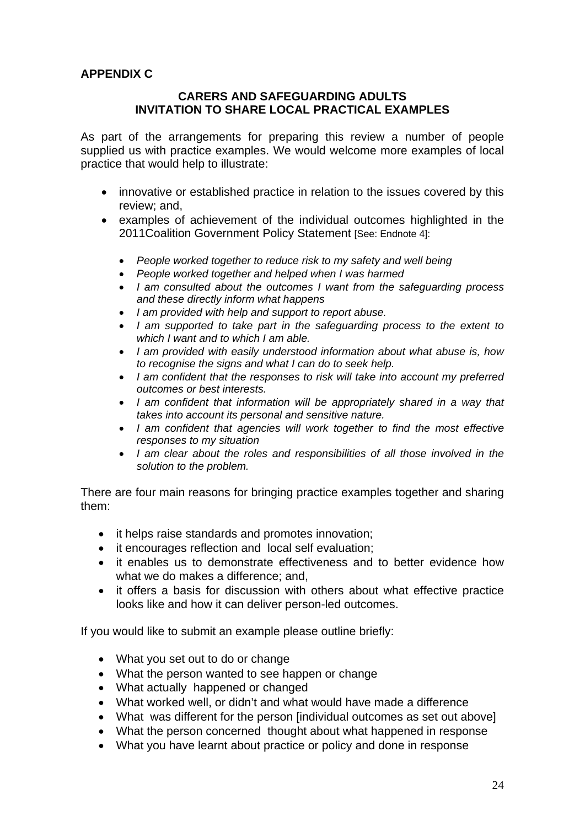## **APPENDIX C**

#### **CARERS AND SAFEGUARDING ADULTS INVITATION TO SHARE LOCAL PRACTICAL EXAMPLES**

As part of the arrangements for preparing this review a number of people supplied us with practice examples. We would welcome more examples of local practice that would help to illustrate:

- innovative or established practice in relation to the issues covered by this review; and,
- examples of achievement of the individual outcomes highlighted in the 2011 Coalition Government Policy Statement [See: Endnote 4]:
	- *People worked together to reduce risk to my safety and well being*
	- *People worked together and helped when I was harmed*
	- *I am consulted about the outcomes I want from the safeguarding process and these directly inform what happens*
	- *I am provided with help and support to report abuse.*
	- *I am supported to take part in the safeguarding process to the extent to which I want and to which I am able.*
	- *I am provided with easily understood information about what abuse is, how to recognise the signs and what I can do to seek help.*
	- *I am confident that the responses to risk will take into account my preferred outcomes or best interests.*
	- *I am confident that information will be appropriately shared in a way that takes into account its personal and sensitive nature.*
	- *I am confident that agencies will work together to find the most effective responses to my situation*
	- *I am clear about the roles and responsibilities of all those involved in the solution to the problem.*

There are four main reasons for bringing practice examples together and sharing them:

- it helps raise standards and promotes innovation;
- it encourages reflection and local self evaluation;
- it enables us to demonstrate effectiveness and to better evidence how what we do makes a difference; and,
- it offers a basis for discussion with others about what effective practice looks like and how it can deliver person-led outcomes.

If you would like to submit an example please outline briefly:

- What you set out to do or change
- What the person wanted to see happen or change
- What actually happened or changed
- What worked well, or didn't and what would have made a difference
- What was different for the person [individual outcomes as set out above]
- What the person concerned thought about what happened in response
- What you have learnt about practice or policy and done in response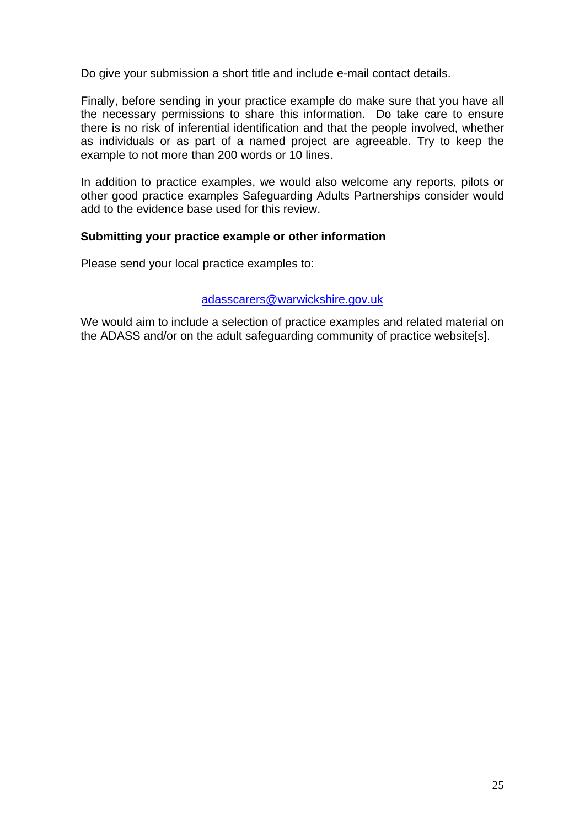Do give your submission a short title and include e-mail contact details.

Finally, before sending in your practice example do make sure that you have all the necessary permissions to share this information. Do take care to ensure there is no risk of inferential identification and that the people involved, whether as individuals or as part of a named project are agreeable. Try to keep the example to not more than 200 words or 10 lines.

In addition to practice examples, we would also welcome any reports, pilots or other good practice examples Safeguarding Adults Partnerships consider would add to the evidence base used for this review.

#### **Submitting your practice example or other information**

Please send your local practice examples to:

#### adasscarers@warwickshire.gov.uk

We would aim to include a selection of practice examples and related material on the ADASS and/or on the adult safeguarding community of practice website[s].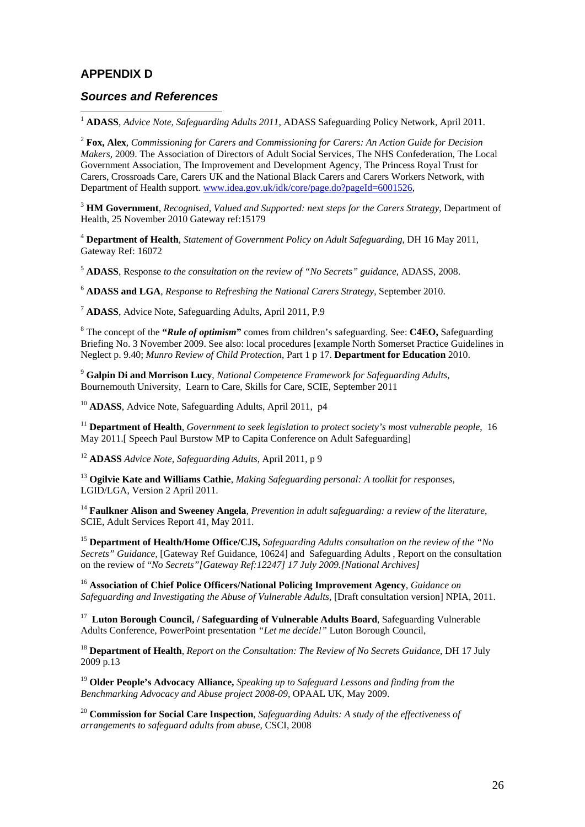#### **APPENDIX D**

 $\overline{a}$ 

#### *Sources and References*

<sup>1</sup> **ADASS**, *Advice Note, Safeguarding Adults 2011*, ADASS Safeguarding Policy Network, April 2011.

<sup>2</sup> **Fox, Alex**, *Commissioning for Carers and Commissioning for Carers: An Action Guide for Decision Makers,* 2009. The Association of Directors of Adult Social Services, The NHS Confederation, The Local Government Association, The Improvement and Development Agency, The Princess Royal Trust for Carers, Crossroads Care, Carers UK and the National Black Carers and Carers Workers Network, with Department of Health support. www.idea.gov.uk/idk/core/page.do?pageId=6001526,

<sup>3</sup> **HM Government**, *Recognised, Valued and Supported: next steps for the Carers Strategy*, Department of Health, 25 November 2010 Gateway ref:15179

<sup>4</sup> **Department of Health**, *Statement of Government Policy on Adult Safeguarding*, DH 16 May 2011, Gateway Ref: 16072

<sup>5</sup> **ADASS**, Response *to the consultation on the review of "No Secrets" guidance*, ADASS, 2008.

<sup>6</sup> **ADASS and LGA**, *Response to Refreshing the National Carers Strategy*, September 2010.

<sup>7</sup> **ADASS**, Advice Note, Safeguarding Adults, April 2011, P.9

8 The concept of the **"***Rule of optimism***"** comes from children's safeguarding. See: **C4EO,** Safeguarding Briefing No. 3 November 2009. See also: local procedures [example North Somerset Practice Guidelines in Neglect p. 9.40; *Munro Review of Child Protection*, Part 1 p 17. **Department for Education** 2010.

<sup>9</sup> **Galpin Di and Morrison Lucy**, *National Competence Framework for Safeguarding Adults,* Bournemouth University, Learn to Care, Skills for Care, SCIE, September 2011

<sup>10</sup> **ADASS**, Advice Note, Safeguarding Adults, April 2011, p4

<sup>11</sup> **Department of Health**, *Government to seek legislation to protect society's most vulnerable people*, 16 May 2011.[ Speech Paul Burstow MP to Capita Conference on Adult Safeguarding]

<sup>12</sup> **ADASS** *Advice Note, Safeguarding Adults*, April 2011, p 9

<sup>13</sup> **Ogilvie Kate and Williams Cathie**, *Making Safeguarding personal: A toolkit for responses,* LGID/LGA, Version 2 April 2011.

<sup>14</sup> **Faulkner Alison and Sweeney Angela**, *Prevention in adult safeguarding: a review of the literature*, SCIE, Adult Services Report 41, May 2011.

<sup>15</sup> **Department of Health/Home Office/CJS,** *Safeguarding Adults consultation on the review of the "No Secrets" Guidance,* [Gateway Ref Guidance, 10624] and Safeguarding Adults , Report on the consultation on the review of "*No Secrets"[Gateway Ref:12247] 17 July 2009.[National Archives]* 

<sup>16</sup> **Association of Chief Police Officers/National Policing Improvement Agency***, Guidance on Safeguarding and Investigating the Abuse of Vulnerable Adults,* [Draft consultation version] NPIA, 2011.

17 **Luton Borough Council, / Safeguarding of Vulnerable Adults Board**, Safeguarding Vulnerable Adults Conference, PowerPoint presentation *"Let me decide!"* Luton Borough Council,

<sup>18</sup> **Department of Health**, *Report on the Consultation: The Review of No Secrets Guidance*, DH 17 July 2009 p.13

<sup>19</sup> **Older People's Advocacy Alliance,** *Speaking up to Safeguard Lessons and finding from the Benchmarking Advocacy and Abuse project 2008-09,* OPAAL UK, May 2009.

<sup>20</sup> **Commission for Social Care Inspection**, *Safeguarding Adults: A study of the effectiveness of arrangements to safeguard adults from abuse,* CSCI, 2008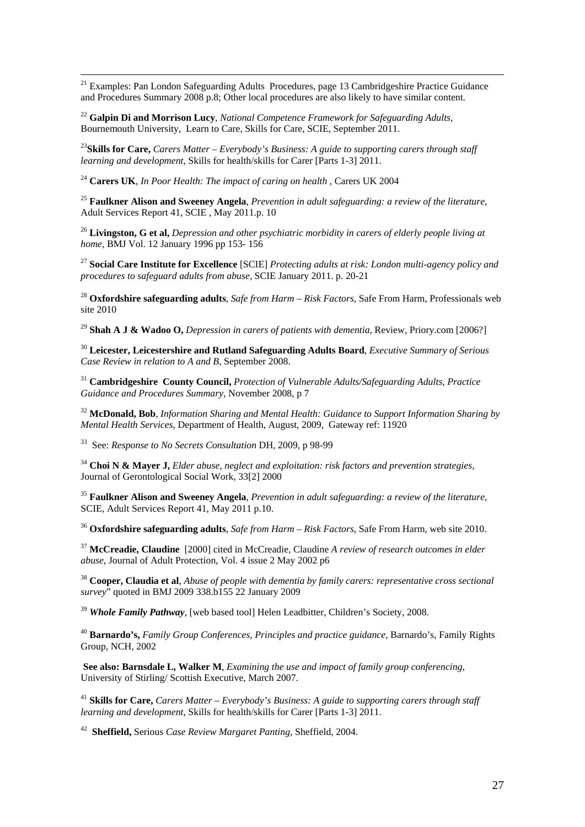<sup>21</sup> Examples: Pan London Safeguarding Adults Procedures, page 13 Cambridgeshire Practice Guidance and Procedures Summary 2008 p.8; Other local procedures are also likely to have similar content.

<sup>22</sup> **Galpin Di and Morrison Lucy**, *National Competence Framework for Safeguarding Adults,* Bournemouth University, Learn to Care, Skills for Care, SCIE, September 2011.

<sup>23</sup>**Skills for Care,** *Carers Matter – Everybody's Business: A guide to supporting carers through staff learning and development*, Skills for health/skills for Carer [Parts 1-3] 2011.

<sup>24</sup> **Carers UK**, *In Poor Health: The impact of caring on health* , Carers UK 2004

<sup>25</sup> **Faulkner Alison and Sweeney Angela**, *Prevention in adult safeguarding: a review of the literature*, Adult Services Report 41, SCIE , May 2011.p. 10

<sup>26</sup> **Livingston, G et al,** *Depression and other psychiatric morbidity in carers of elderly people living at home,* BMJ Vol. 12 January 1996 pp 153- 156

<sup>27</sup> **Social Care Institute for Excellence** [SCIE] *Protecting adults at risk: London multi-agency policy and procedures to safeguard adults from abuse,* SCIE January 2011. p. 20-21

<sup>28</sup> **Oxfordshire safeguarding adults**, *Safe from Harm – Risk Factors*, Safe From Harm, Professionals web site 2010

<sup>29</sup> **Shah A J & Wadoo O,** *Depression in carers of patients with dementia*, Review, Priory.com [2006?]

<sup>30</sup> **Leicester, Leicestershire and Rutland Safeguarding Adults Board**, *Executive Summary of Serious Case Review in relation to A and B*, September 2008.

<sup>31</sup> **Cambridgeshire County Council,** *Protection of Vulnerable Adults/Safeguarding Adults, Practice Guidance and Procedures Summary*, November 2008, p 7

<sup>32</sup> **McDonald, Bob**, *Information Sharing and Mental Health: Guidance to Support Information Sharing by Mental Health Services*, Department of Health, August, 2009, Gateway ref: 11920

33 See: *Response to No Secrets Consultation* DH, 2009, p 98-99

<sup>34</sup> **Choi N & Mayer J,** *Elder abuse, neglect and exploitation: risk factors and prevention strategies,* Journal of Gerontological Social Work, 33[2] 2000

<sup>35</sup> **Faulkner Alison and Sweeney Angela**, *Prevention in adult safeguarding: a review of the literature*, SCIE, Adult Services Report 41, May 2011 p.10.

<sup>36</sup> **Oxfordshire safeguarding adults**, *Safe from Harm – Risk Factors*, Safe From Harm, web site 2010.

<sup>37</sup> **McCreadie, Claudine** [2000] cited in McCreadie, Claudine *A review of research outcomes in elder abuse*, Journal of Adult Protection, Vol. 4 issue 2 May 2002 p6

<sup>38</sup> **Cooper, Claudia et al**, *Abuse of people with dementia by family carers: representative cross sectional survey*" quoted in BMJ 2009 338.b155 22 January 2009

<sup>39</sup> *Whole Family Pathway*, [web based tool] Helen Leadbitter, Children's Society, 2008.

<sup>40</sup> **Barnardo's,** *Family Group Conferences, Principles and practice guidance*, Barnardo's, Family Rights Group, NCH, 2002

 **See also: Barnsdale L, Walker M**, *Examining the use and impact of family group conferencing*, University of Stirling/ Scottish Executive, March 2007.

<sup>41</sup> **Skills for Care,** *Carers Matter – Everybody's Business: A guide to supporting carers through staff learning and development*, Skills for health/skills for Carer [Parts 1-3] 2011.

42 **Sheffield,** Serious *Case Review Margaret Panting*, Sheffield, 2004.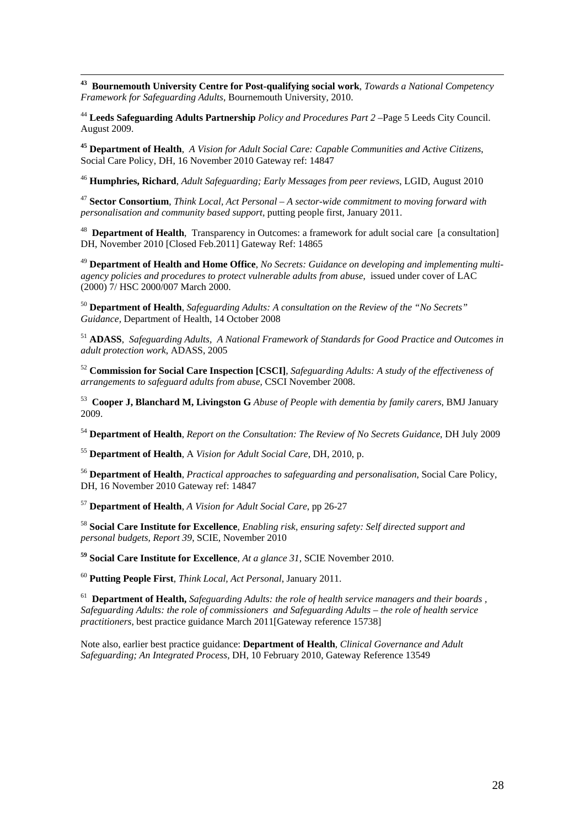**43 Bournemouth University Centre for Post-qualifying social work**, *Towards a National Competency Framework for Safeguarding Adults*, Bournemouth University, 2010.

<sup>44</sup> **Leeds Safeguarding Adults Partnership** *Policy and Procedures Part 2* –Page 5 Leeds City Council. August 2009.

**45 Department of Health**, *A Vision for Adult Social Care: Capable Communities and Active Citizens*, Social Care Policy, DH, 16 November 2010 Gateway ref: 14847

<sup>46</sup> **Humphries, Richard**, *Adult Safeguarding; Early Messages from peer reviews*, LGID, August 2010

<sup>47</sup> **Sector Consortium**, *Think Local, Act Personal – A sector-wide commitment to moving forward with personalisation and community based support,* putting people first, January 2011.

48 **Department of Health**, Transparency in Outcomes: a framework for adult social care [a consultation] DH, November 2010 [Closed Feb.2011] Gateway Ref: 14865

<sup>49</sup> **Department of Health and Home Office**, *No Secrets: Guidance on developing and implementing multiagency policies and procedures to protect vulnerable adults from abuse*, issued under cover of LAC (2000) 7/ HSC 2000/007 March 2000.

<sup>50</sup> **Department of Health**, *Safeguarding Adults: A consultation on the Review of the "No Secrets" Guidance,* Department of Health, 14 October 2008

<sup>51</sup> **ADASS**, *Safeguarding Adults, A National Framework of Standards for Good Practice and Outcomes in adult protection work*, ADASS, 2005

<sup>52</sup> **Commission for Social Care Inspection [CSCI]**, *Safeguarding Adults: A study of the effectiveness of arrangements to safeguard adults from abuse,* CSCI November 2008.

53 **Cooper J, Blanchard M, Livingston G** *Abuse of People with dementia by family carers*, BMJ January 2009.

<sup>54</sup> **Department of Health**, *Report on the Consultation: The Review of No Secrets Guidance*, DH July 2009

<sup>55</sup> **Department of Health**, A *Vision for Adult Social Care*, DH, 2010, p.

<sup>56</sup> **Department of Health**, *Practical approaches to safeguarding and personalisation*, Social Care Policy, DH, 16 November 2010 Gateway ref: 14847

<sup>57</sup> **Department of Health**, *A Vision for Adult Social Care*, pp 26-27

<sup>58</sup> **Social Care Institute for Excellence**, *Enabling risk, ensuring safety: Self directed support and personal budgets, Report 39*, SCIE, November 2010

**59 Social Care Institute for Excellence**, *At a glance 31,* SCIE November 2010.

<sup>60</sup> **Putting People First**, *Think Local, Act Personal*, January 2011.

61 **Department of Health,** *Safeguarding Adults: the role of health service managers and their boards , Safeguarding Adults: the role of commissioners and Safeguarding Adults – the role of health service practitioners*, best practice guidance March 2011 [Gateway reference 15738]

Note also, earlier best practice guidance: **Department of Health***, Clinical Governance and Adult Safeguarding; An Integrated Process,* DH, 10 February 2010, Gateway Reference 13549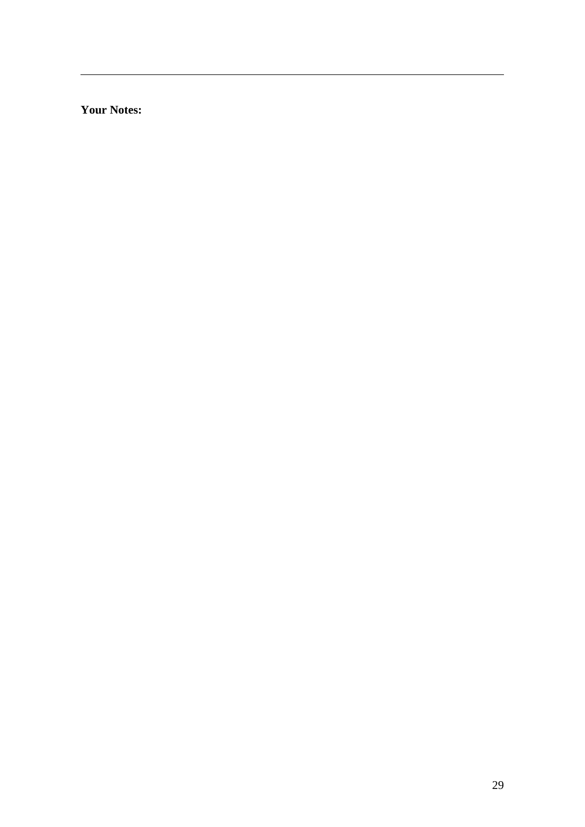**Your Notes:** 

 $\overline{a}$